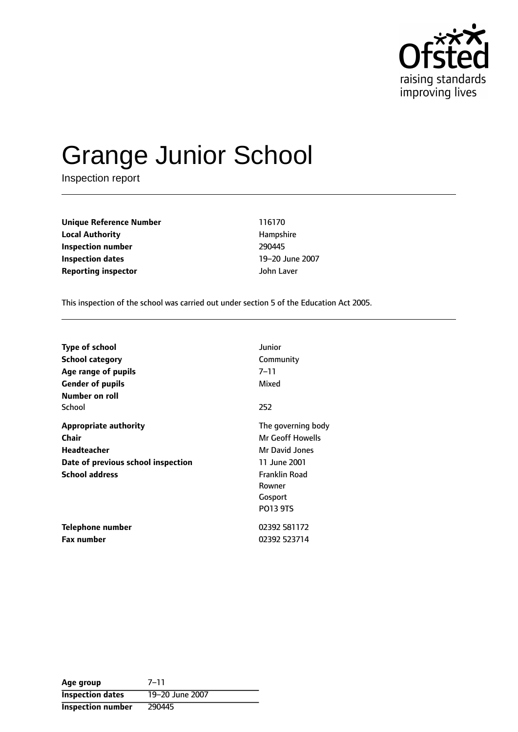

# Grange Junior School

Inspection report

**Unique Reference Number** 116170 **Local Authority Hampshire Inspection number** 290445 **Inspection dates** 19-20 June 2007 **Reporting inspector** John Laver

This inspection of the school was carried out under section 5 of the Education Act 2005.

| <b>Type of school</b>              | Junior               |
|------------------------------------|----------------------|
| School category                    | Community            |
| Age range of pupils                | 7–11                 |
| <b>Gender of pupils</b>            | Mixed                |
| Number on roll                     |                      |
| School                             | 252                  |
| <b>Appropriate authority</b>       | The governing body   |
| Chair                              | Mr Geoff Howells     |
| <b>Headteacher</b>                 | Mr David Jones       |
| Date of previous school inspection | 11 June 2001         |
| <b>School address</b>              | <b>Franklin Road</b> |
|                                    | Rowner               |
|                                    | Gosport              |
|                                    | <b>PO13 9TS</b>      |
| Telephone number                   | 02392 581172         |
| <b>Fax number</b>                  | 02392 523714         |

Age group 7-11 **Inspection dates** 19-20 June 2007 **Inspection number** 290445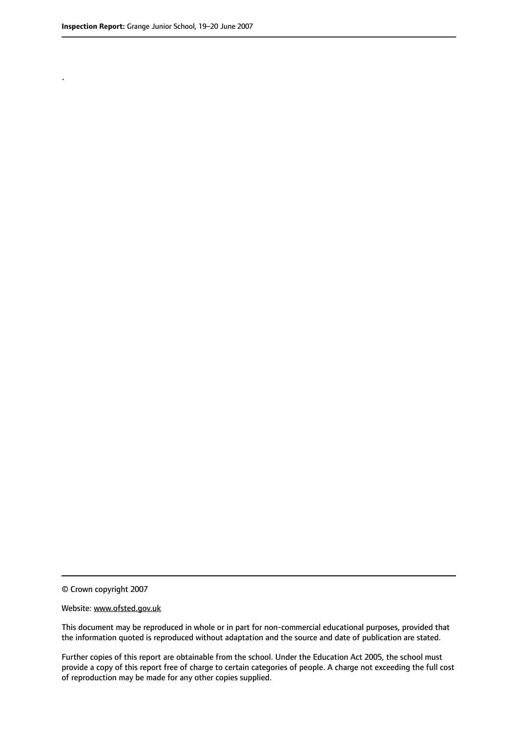.

© Crown copyright 2007

#### Website: www.ofsted.gov.uk

This document may be reproduced in whole or in part for non-commercial educational purposes, provided that the information quoted is reproduced without adaptation and the source and date of publication are stated.

Further copies of this report are obtainable from the school. Under the Education Act 2005, the school must provide a copy of this report free of charge to certain categories of people. A charge not exceeding the full cost of reproduction may be made for any other copies supplied.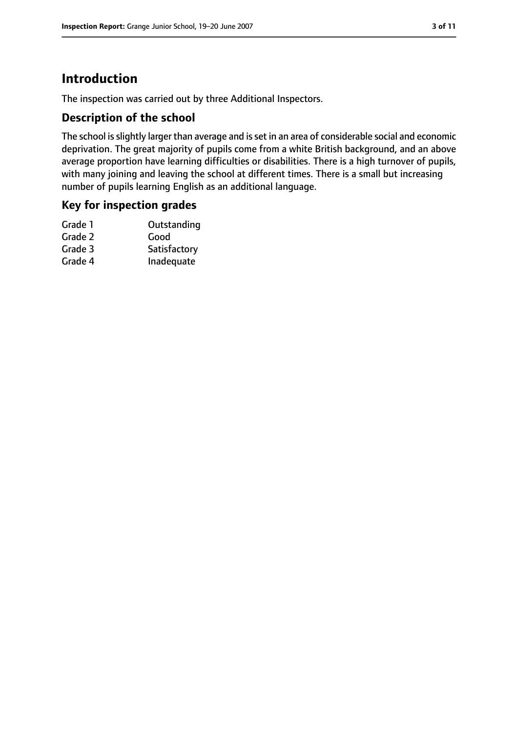# **Introduction**

The inspection was carried out by three Additional Inspectors.

## **Description of the school**

The school is slightly larger than average and is set in an area of considerable social and economic deprivation. The great majority of pupils come from a white British background, and an above average proportion have learning difficulties or disabilities. There is a high turnover of pupils, with many joining and leaving the school at different times. There is a small but increasing number of pupils learning English as an additional language.

## **Key for inspection grades**

| Grade 1 | Outstanding  |
|---------|--------------|
| Grade 2 | Good         |
| Grade 3 | Satisfactory |
| Grade 4 | Inadequate   |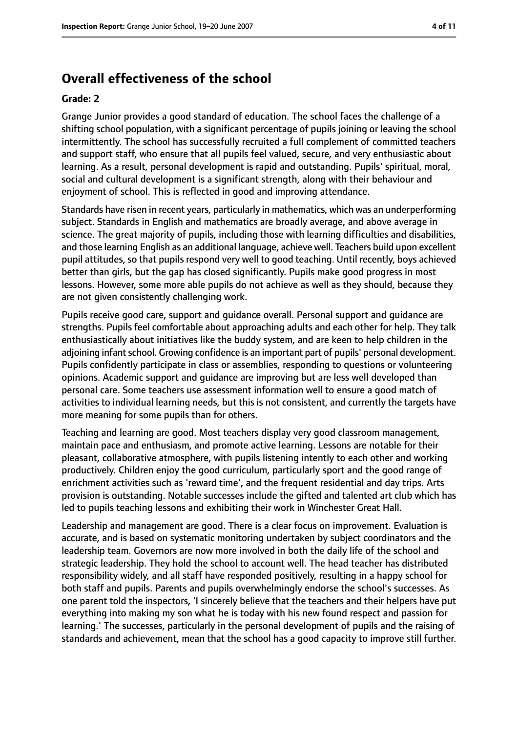# **Overall effectiveness of the school**

#### **Grade: 2**

Grange Junior provides a good standard of education. The school faces the challenge of a shifting school population, with a significant percentage of pupils joining or leaving the school intermittently. The school has successfully recruited a full complement of committed teachers and support staff, who ensure that all pupils feel valued, secure, and very enthusiastic about learning. As a result, personal development is rapid and outstanding. Pupils' spiritual, moral, social and cultural development is a significant strength, along with their behaviour and enjoyment of school. This is reflected in good and improving attendance.

Standards have risen in recent years, particularly in mathematics, which was an underperforming subject. Standards in English and mathematics are broadly average, and above average in science. The great majority of pupils, including those with learning difficulties and disabilities, and those learning English as an additional language, achieve well. Teachers build upon excellent pupil attitudes, so that pupils respond very well to good teaching. Until recently, boys achieved better than girls, but the gap has closed significantly. Pupils make good progress in most lessons. However, some more able pupils do not achieve as well as they should, because they are not given consistently challenging work.

Pupils receive good care, support and guidance overall. Personal support and guidance are strengths. Pupils feel comfortable about approaching adults and each other for help. They talk enthusiastically about initiatives like the buddy system, and are keen to help children in the adjoining infant school. Growing confidence is an important part of pupils' personal development. Pupils confidently participate in class or assemblies, responding to questions or volunteering opinions. Academic support and guidance are improving but are less well developed than personal care. Some teachers use assessment information well to ensure a good match of activities to individual learning needs, but this is not consistent, and currently the targets have more meaning for some pupils than for others.

Teaching and learning are good. Most teachers display very good classroom management, maintain pace and enthusiasm, and promote active learning. Lessons are notable for their pleasant, collaborative atmosphere, with pupils listening intently to each other and working productively. Children enjoy the good curriculum, particularly sport and the good range of enrichment activities such as 'reward time', and the frequent residential and day trips. Arts provision is outstanding. Notable successes include the gifted and talented art club which has led to pupils teaching lessons and exhibiting their work in Winchester Great Hall.

Leadership and management are good. There is a clear focus on improvement. Evaluation is accurate, and is based on systematic monitoring undertaken by subject coordinators and the leadership team. Governors are now more involved in both the daily life of the school and strategic leadership. They hold the school to account well. The head teacher has distributed responsibility widely, and all staff have responded positively, resulting in a happy school for both staff and pupils. Parents and pupils overwhelmingly endorse the school's successes. As one parent told the inspectors, 'I sincerely believe that the teachers and their helpers have put everything into making my son what he is today with his new found respect and passion for learning.' The successes, particularly in the personal development of pupils and the raising of standards and achievement, mean that the school has a good capacity to improve still further.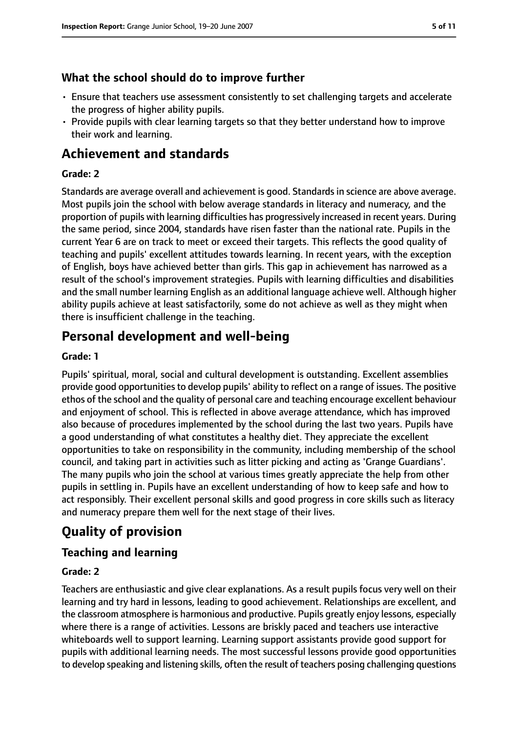# **What the school should do to improve further**

- Ensure that teachers use assessment consistently to set challenging targets and accelerate the progress of higher ability pupils.
- Provide pupils with clear learning targets so that they better understand how to improve their work and learning.

# **Achievement and standards**

## **Grade: 2**

Standards are average overall and achievement is good. Standards in science are above average. Most pupils join the school with below average standards in literacy and numeracy, and the proportion of pupils with learning difficulties has progressively increased in recent years. During the same period, since 2004, standards have risen faster than the national rate. Pupils in the current Year 6 are on track to meet or exceed their targets. This reflects the good quality of teaching and pupils' excellent attitudes towards learning. In recent years, with the exception of English, boys have achieved better than girls. This gap in achievement has narrowed as a result of the school's improvement strategies. Pupils with learning difficulties and disabilities and the small number learning English as an additional language achieve well. Although higher ability pupils achieve at least satisfactorily, some do not achieve as well as they might when there is insufficient challenge in the teaching.

# **Personal development and well-being**

## **Grade: 1**

Pupils' spiritual, moral, social and cultural development is outstanding. Excellent assemblies provide good opportunitiesto develop pupils' ability to reflect on a range of issues. The positive ethos of the school and the quality of personal care and teaching encourage excellent behaviour and enjoyment of school. This is reflected in above average attendance, which has improved also because of procedures implemented by the school during the last two years. Pupils have a good understanding of what constitutes a healthy diet. They appreciate the excellent opportunities to take on responsibility in the community, including membership of the school council, and taking part in activities such as litter picking and acting as 'Grange Guardians'. The many pupils who join the school at various times greatly appreciate the help from other pupils in settling in. Pupils have an excellent understanding of how to keep safe and how to act responsibly. Their excellent personal skills and good progress in core skills such as literacy and numeracy prepare them well for the next stage of their lives.

# **Quality of provision**

# **Teaching and learning**

## **Grade: 2**

Teachers are enthusiastic and give clear explanations. As a result pupils focus very well on their learning and try hard in lessons, leading to good achievement. Relationships are excellent, and the classroom atmosphere is harmonious and productive. Pupils greatly enjoy lessons, especially where there is a range of activities. Lessons are briskly paced and teachers use interactive whiteboards well to support learning. Learning support assistants provide good support for pupils with additional learning needs. The most successful lessons provide good opportunities to develop speaking and listening skills, often the result of teachers posing challenging questions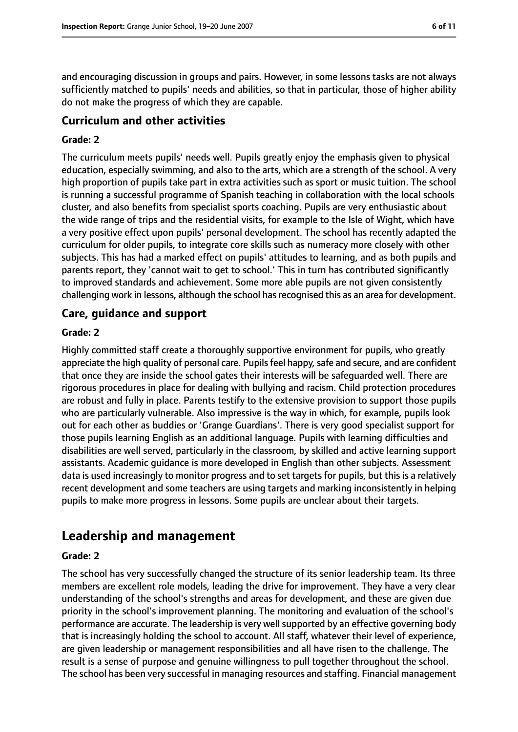and encouraging discussion in groups and pairs. However, in some lessons tasks are not always sufficiently matched to pupils' needs and abilities, so that in particular, those of higher ability do not make the progress of which they are capable.

# **Curriculum and other activities**

## **Grade: 2**

The curriculum meets pupils' needs well. Pupils greatly enjoy the emphasis given to physical education, especially swimming, and also to the arts, which are a strength of the school. A very high proportion of pupils take part in extra activities such as sport or music tuition. The school is running a successful programme of Spanish teaching in collaboration with the local schools cluster, and also benefits from specialist sports coaching. Pupils are very enthusiastic about the wide range of trips and the residential visits, for example to the Isle of Wight, which have a very positive effect upon pupils' personal development. The school has recently adapted the curriculum for older pupils, to integrate core skills such as numeracy more closely with other subjects. This has had a marked effect on pupils' attitudes to learning, and as both pupils and parents report, they 'cannot wait to get to school.' This in turn has contributed significantly to improved standards and achievement. Some more able pupils are not given consistently challenging work in lessons, although the school hasrecognised this as an area for development.

## **Care, guidance and support**

## **Grade: 2**

Highly committed staff create a thoroughly supportive environment for pupils, who greatly appreciate the high quality of personal care. Pupils feel happy, safe and secure, and are confident that once they are inside the school gates their interests will be safeguarded well. There are rigorous procedures in place for dealing with bullying and racism. Child protection procedures are robust and fully in place. Parents testify to the extensive provision to support those pupils who are particularly vulnerable. Also impressive is the way in which, for example, pupils look out for each other as buddies or 'Grange Guardians'. There is very good specialist support for those pupils learning English as an additional language. Pupils with learning difficulties and disabilities are well served, particularly in the classroom, by skilled and active learning support assistants. Academic guidance is more developed in English than other subjects. Assessment data is used increasingly to monitor progress and to set targets for pupils, but this is a relatively recent development and some teachers are using targets and marking inconsistently in helping pupils to make more progress in lessons. Some pupils are unclear about their targets.

# **Leadership and management**

#### **Grade: 2**

The school has very successfully changed the structure of its senior leadership team. Its three members are excellent role models, leading the drive for improvement. They have a very clear understanding of the school's strengths and areas for development, and these are given due priority in the school's improvement planning. The monitoring and evaluation of the school's performance are accurate. The leadership is very well supported by an effective governing body that is increasingly holding the school to account. All staff, whatever their level of experience, are given leadership or management responsibilities and all have risen to the challenge. The result is a sense of purpose and genuine willingness to pull together throughout the school. The school has been very successful in managing resources and staffing. Financial management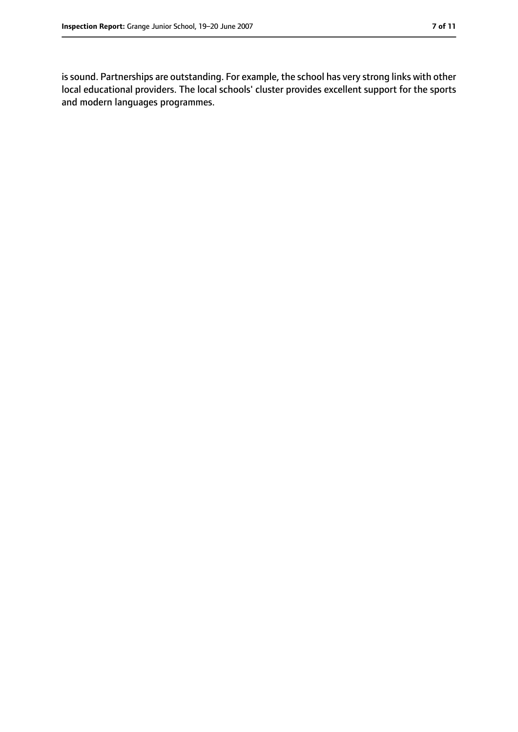is sound. Partnerships are outstanding. For example, the school has very strong links with other local educational providers. The local schools' cluster provides excellent support for the sports and modern languages programmes.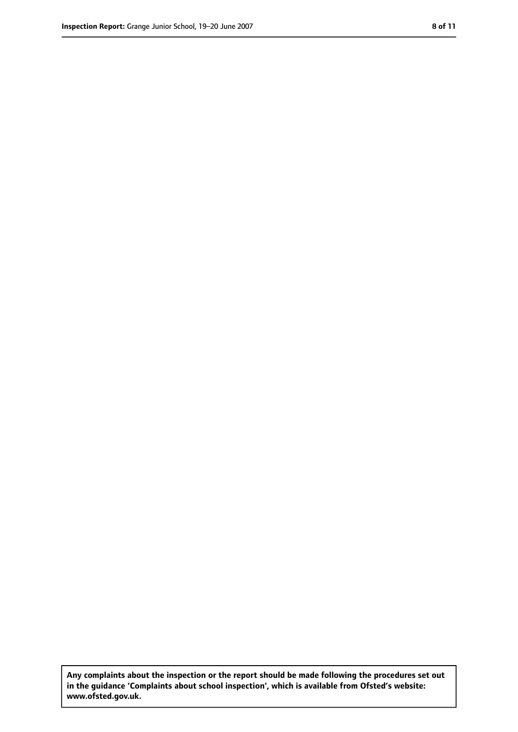**Any complaints about the inspection or the report should be made following the procedures set out in the guidance 'Complaints about school inspection', which is available from Ofsted's website: www.ofsted.gov.uk.**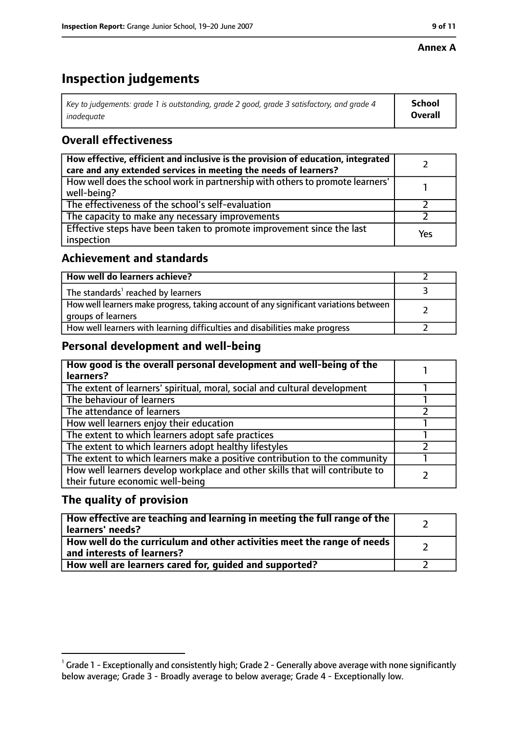#### **Annex A**

# **Inspection judgements**

| Key to judgements: grade 1 is outstanding, grade 2 good, grade 3 satisfactory, and grade 4 | School         |
|--------------------------------------------------------------------------------------------|----------------|
| inadeguate                                                                                 | <b>Overall</b> |

# **Overall effectiveness**

| How effective, efficient and inclusive is the provision of education, integrated<br>care and any extended services in meeting the needs of learners? |     |
|------------------------------------------------------------------------------------------------------------------------------------------------------|-----|
| How well does the school work in partnership with others to promote learners'<br>well-being?                                                         |     |
| The effectiveness of the school's self-evaluation                                                                                                    |     |
| The capacity to make any necessary improvements                                                                                                      |     |
| Effective steps have been taken to promote improvement since the last<br>inspection                                                                  | Yes |

## **Achievement and standards**

| How well do learners achieve?                                                                               |  |
|-------------------------------------------------------------------------------------------------------------|--|
| The standards <sup>1</sup> reached by learners                                                              |  |
| How well learners make progress, taking account of any significant variations between<br>groups of learners |  |
| How well learners with learning difficulties and disabilities make progress                                 |  |

# **Personal development and well-being**

| How good is the overall personal development and well-being of the<br>learners?                                  |  |
|------------------------------------------------------------------------------------------------------------------|--|
| The extent of learners' spiritual, moral, social and cultural development                                        |  |
| The behaviour of learners                                                                                        |  |
| The attendance of learners                                                                                       |  |
| How well learners enjoy their education                                                                          |  |
| The extent to which learners adopt safe practices                                                                |  |
| The extent to which learners adopt healthy lifestyles                                                            |  |
| The extent to which learners make a positive contribution to the community                                       |  |
| How well learners develop workplace and other skills that will contribute to<br>their future economic well-being |  |

# **The quality of provision**

| How effective are teaching and learning in meeting the full range of the<br>learners' needs?          |  |
|-------------------------------------------------------------------------------------------------------|--|
| How well do the curriculum and other activities meet the range of needs<br>and interests of learners? |  |
| How well are learners cared for, quided and supported?                                                |  |

 $^1$  Grade 1 - Exceptionally and consistently high; Grade 2 - Generally above average with none significantly below average; Grade 3 - Broadly average to below average; Grade 4 - Exceptionally low.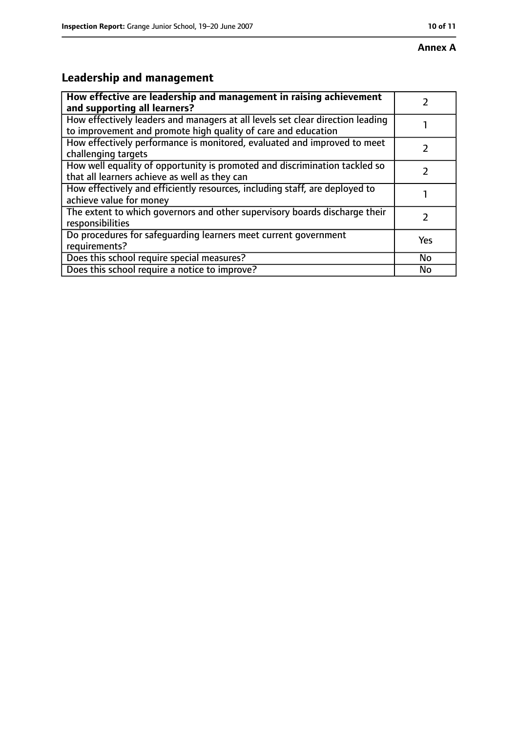# **Leadership and management**

| How effective are leadership and management in raising achievement<br>and supporting all learners?                                              |     |
|-------------------------------------------------------------------------------------------------------------------------------------------------|-----|
| How effectively leaders and managers at all levels set clear direction leading<br>to improvement and promote high quality of care and education |     |
| How effectively performance is monitored, evaluated and improved to meet<br>challenging targets                                                 |     |
| How well equality of opportunity is promoted and discrimination tackled so<br>that all learners achieve as well as they can                     |     |
| How effectively and efficiently resources, including staff, are deployed to<br>achieve value for money                                          |     |
| The extent to which governors and other supervisory boards discharge their<br>responsibilities                                                  | 7   |
| Do procedures for safequarding learners meet current government<br>requirements?                                                                | Yes |
| Does this school require special measures?                                                                                                      | No  |
| Does this school require a notice to improve?                                                                                                   | No  |